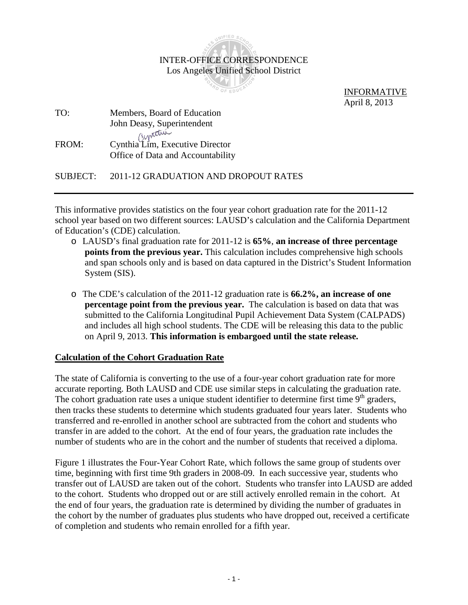

 INFORMATIVE April 8, 2013

| TO:   | Members, Board of Education                                          |
|-------|----------------------------------------------------------------------|
|       | John Deasy, Superintendent                                           |
| FROM: | Cynthia Lim, Executive Director<br>Office of Data and Accountability |

SUBJECT: 2011-12 GRADUATION AND DROPOUT RATES

This informative provides statistics on the four year cohort graduation rate for the 2011-12 school year based on two different sources: LAUSD's calculation and the California Department of Education's (CDE) calculation.

- o LAUSD's final graduation rate for 2011-12 is **65%**, **an increase of three percentage points from the previous year.** This calculation includes comprehensive high schools and span schools only and is based on data captured in the District's Student Information System (SIS).
- o The CDE's calculation of the 2011-12 graduation rate is **66.2%, an increase of one percentage point from the previous year.** The calculation is based on data that was submitted to the California Longitudinal Pupil Achievement Data System (CALPADS) and includes all high school students. The CDE will be releasing this data to the public on April 9, 2013. **This information is embargoed until the state release.**

### **Calculation of the Cohort Graduation Rate**

The state of California is converting to the use of a four-year cohort graduation rate for more accurate reporting. Both LAUSD and CDE use similar steps in calculating the graduation rate. The cohort graduation rate uses a unique student identifier to determine first time  $9<sup>th</sup>$  graders, then tracks these students to determine which students graduated four years later. Students who transferred and re-enrolled in another school are subtracted from the cohort and students who transfer in are added to the cohort. At the end of four years, the graduation rate includes the number of students who are in the cohort and the number of students that received a diploma.

Figure 1 illustrates the Four-Year Cohort Rate, which follows the same group of students over time, beginning with first time 9th graders in 2008-09. In each successive year, students who transfer out of LAUSD are taken out of the cohort. Students who transfer into LAUSD are added to the cohort. Students who dropped out or are still actively enrolled remain in the cohort. At the end of four years, the graduation rate is determined by dividing the number of graduates in the cohort by the number of graduates plus students who have dropped out, received a certificate of completion and students who remain enrolled for a fifth year.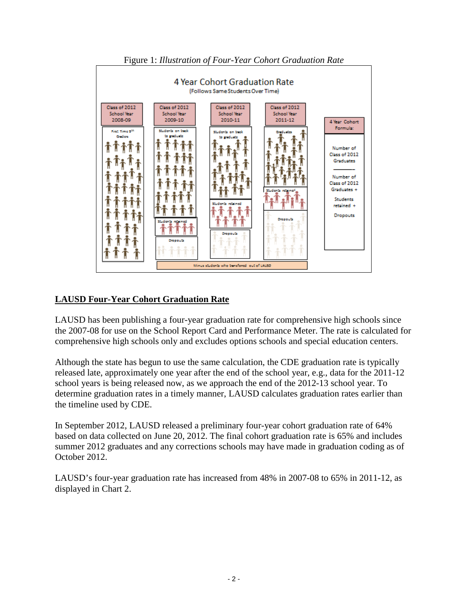

Figure 1: *Illustration of Four-Year Cohort Graduation Rate*

## **LAUSD Four-Year Cohort Graduation Rate**

LAUSD has been publishing a four-year graduation rate for comprehensive high schools since the 2007-08 for use on the School Report Card and Performance Meter. The rate is calculated for comprehensive high schools only and excludes options schools and special education centers.

Although the state has begun to use the same calculation, the CDE graduation rate is typically released late, approximately one year after the end of the school year, e.g., data for the 2011-12 school years is being released now, as we approach the end of the 2012-13 school year. To determine graduation rates in a timely manner, LAUSD calculates graduation rates earlier than the timeline used by CDE.

In September 2012, LAUSD released a preliminary four-year cohort graduation rate of 64% based on data collected on June 20, 2012. The final cohort graduation rate is 65% and includes summer 2012 graduates and any corrections schools may have made in graduation coding as of October 2012.

LAUSD's four-year graduation rate has increased from 48% in 2007-08 to 65% in 2011-12, as displayed in Chart 2.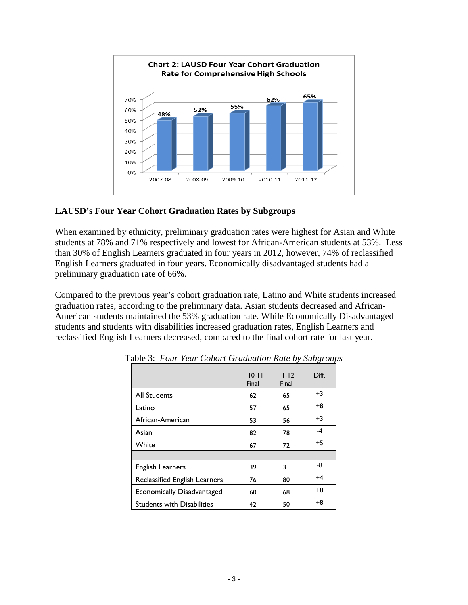

# **LAUSD's Four Year Cohort Graduation Rates by Subgroups**

When examined by ethnicity, preliminary graduation rates were highest for Asian and White students at 78% and 71% respectively and lowest for African-American students at 53%. Less than 30% of English Learners graduated in four years in 2012, however, 74% of reclassified English Learners graduated in four years. Economically disadvantaged students had a preliminary graduation rate of 66%.

Compared to the previous year's cohort graduation rate, Latino and White students increased graduation rates, according to the preliminary data. Asian students decreased and African-American students maintained the 53% graduation rate. While Economically Disadvantaged students and students with disabilities increased graduation rates, English Learners and reclassified English Learners decreased, compared to the final cohort rate for last year.

|                                      | $10 - 11$<br>Final | $11 - 12$<br>Final | Diff. |
|--------------------------------------|--------------------|--------------------|-------|
| <b>All Students</b>                  | 62                 | 65                 | $+3$  |
| Latino                               | 57                 | 65                 | +8    |
| African-American                     | 53                 | 56                 | $+3$  |
| Asian                                | 82                 | 78                 | $-4$  |
| White                                | 67                 | 72                 | $+5$  |
|                                      |                    |                    |       |
| <b>English Learners</b>              | 39                 | 31                 | -8    |
| <b>Reclassified English Learners</b> | 76                 | 80                 | $+4$  |
| <b>Economically Disadvantaged</b>    | 60                 | 68                 | +8    |
| <b>Students with Disabilities</b>    | 42                 | 50                 | +8    |

Table 3: *Four Year Cohort Graduation Rate by Subgroups*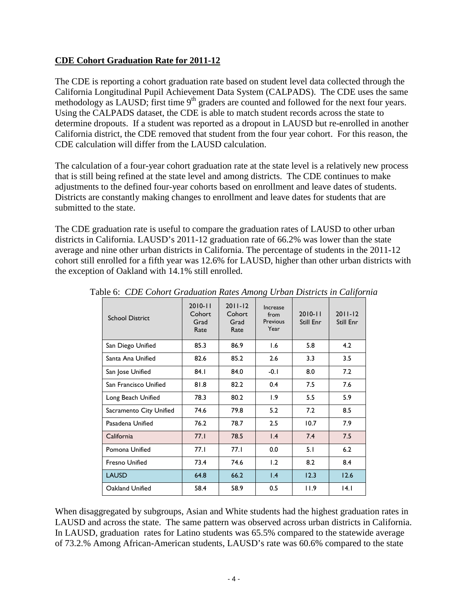### **CDE Cohort Graduation Rate for 2011-12**

The CDE is reporting a cohort graduation rate based on student level data collected through the California Longitudinal Pupil Achievement Data System (CALPADS). The CDE uses the same methodology as LAUSD; first time  $9<sup>th</sup>$  graders are counted and followed for the next four years. Using the CALPADS dataset, the CDE is able to match student records across the state to determine dropouts. If a student was reported as a dropout in LAUSD but re-enrolled in another California district, the CDE removed that student from the four year cohort. For this reason, the CDE calculation will differ from the LAUSD calculation.

The calculation of a four-year cohort graduation rate at the state level is a relatively new process that is still being refined at the state level and among districts. The CDE continues to make adjustments to the defined four-year cohorts based on enrollment and leave dates of students. Districts are constantly making changes to enrollment and leave dates for students that are submitted to the state.

The CDE graduation rate is useful to compare the graduation rates of LAUSD to other urban districts in California. LAUSD's 2011-12 graduation rate of 66.2% was lower than the state average and nine other urban districts in California. The percentage of students in the 2011-12 cohort still enrolled for a fifth year was 12.6% for LAUSD, higher than other urban districts with the exception of Oakland with 14.1% still enrolled.

| <b>School District</b>  | $2010 - 11$<br>Cohort<br>Grad<br>Rate | $2011 - 12$<br>Cohort<br>Grad<br>Rate | <b>Increase</b><br>from<br>Previous<br>Year | $2010 - 11$<br>Still Enr | $2011 - 12$<br>Still Enr |
|-------------------------|---------------------------------------|---------------------------------------|---------------------------------------------|--------------------------|--------------------------|
| San Diego Unified       | 85.3                                  | 86.9                                  | 1.6                                         | 5.8                      | 4.2                      |
| Santa Ana Unified       | 82.6                                  | 85.2                                  | 2.6                                         | 3.3                      | 3.5                      |
| San Jose Unified        | 84.1                                  | 84.0                                  | $-0.1$                                      | 8.0                      | 7.2                      |
| San Francisco Unified   | 81.8                                  | 82.2                                  | 0.4                                         | 7.5                      | 7.6                      |
| Long Beach Unified      | 78.3                                  | 80.2                                  | 1.9                                         | 5.5                      | 5.9                      |
| Sacramento City Unified | 74.6                                  | 79.8                                  | 5.2                                         | 7.2                      | 8.5                      |
| Pasadena Unified        | 76.2                                  | 78.7                                  | 2.5                                         | 10.7                     | 7.9                      |
| California              | 77.1                                  | 78.5                                  | 1.4                                         | 7.4                      | 7.5                      |
| Pomona Unified          | 77.1                                  | 77.I                                  | 0.0                                         | 5.1                      | 6.2                      |
| <b>Fresno Unified</b>   | 73.4                                  | 74.6                                  | 1.2                                         | 8.2                      | 8.4                      |
| <b>LAUSD</b>            | 64.8                                  | 66.2                                  | $\mathsf{I}$ .4                             | 12.3                     | 12.6                     |
| Oakland Unified         | 58.4                                  | 58.9                                  | 0.5                                         | 11.9                     | 4.1                      |

Table 6: *CDE Cohort Graduation Rates Among Urban Districts in California*

When disaggregated by subgroups, Asian and White students had the highest graduation rates in LAUSD and across the state. The same pattern was observed across urban districts in California. In LAUSD, graduation rates for Latino students was 65.5% compared to the statewide average of 73.2.% Among African-American students, LAUSD's rate was 60.6% compared to the state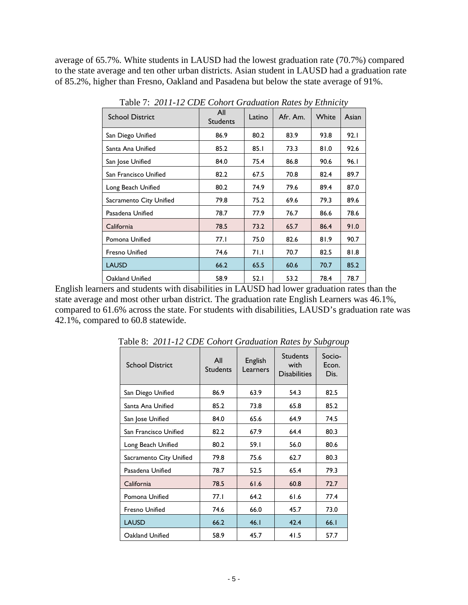average of 65.7%. White students in LAUSD had the lowest graduation rate (70.7%) compared to the state average and ten other urban districts. Asian student in LAUSD had a graduation rate of 85.2%, higher than Fresno, Oakland and Pasadena but below the state average of 91%.

| <b>School District</b>  | All<br><b>Students</b> | Latino | Afr. Am. | White | Asian |
|-------------------------|------------------------|--------|----------|-------|-------|
| San Diego Unified       | 86.9                   | 80.2   | 83.9     | 93.8  | 92.1  |
| Santa Ana Unified       | 85.2                   | 85.1   | 73.3     | 81.0  | 92.6  |
| San Jose Unified        | 84.0                   | 75.4   | 86.8     | 90.6  | 96.I  |
| San Francisco Unified   | 82.2                   | 67.5   | 70.8     | 82.4  | 89.7  |
| Long Beach Unified      | 80.2                   | 74.9   | 79.6     | 89.4  | 87.0  |
| Sacramento City Unified | 79.8                   | 75.2   | 69.6     | 79.3  | 89.6  |
| Pasadena Unified        | 78.7                   | 77.9   | 76.7     | 86.6  | 78.6  |
| California              | 78.5                   | 73.2   | 65.7     | 86.4  | 91.0  |
| Pomona Unified          | 77.I                   | 75.0   | 82.6     | 81.9  | 90.7  |
| <b>Fresno Unified</b>   | 74.6                   | 71.1   | 70.7     | 82.5  | 81.8  |
| <b>LAUSD</b>            | 66.2                   | 65.5   | 60.6     | 70.7  | 85.2  |
| Oakland Unified         | 58.9                   | 52.1   | 53.2     | 78.4  | 78.7  |

Table 7: *2011-12 CDE Cohort Graduation Rates by Ethnicity*

English learners and students with disabilities in LAUSD had lower graduation rates than the state average and most other urban district. The graduation rate English Learners was 46.1%, compared to 61.6% across the state. For students with disabilities, LAUSD's graduation rate was 42.1%, compared to 60.8 statewide.

| <b>School District</b>  | All<br><b>Students</b> | English<br>Learners | <b>Students</b><br>with<br><b>Disabilities</b> | Socio-<br>Econ.<br>Dis. |
|-------------------------|------------------------|---------------------|------------------------------------------------|-------------------------|
| San Diego Unified       | 86.9                   | 63.9                | 54.3                                           | 82.5                    |
| Santa Ana Unified       | 85.2                   | 73.8                | 65.8                                           | 85.2                    |
| San Jose Unified        | 84.0                   | 65.6                | 64.9                                           | 74.5                    |
| San Francisco Unified   | 82.2                   | 67.9                | 64.4                                           | 80.3                    |
| Long Beach Unified      | 80.2                   | 59.I                | 56.0                                           | 80.6                    |
| Sacramento City Unified | 79.8                   | 75.6                | 62.7                                           | 80.3                    |
| Pasadena Unified        | 78.7                   | 52.5                | 65.4                                           | 79.3                    |
| California              | 78.5                   | 61.6                | 60.8                                           | 72.7                    |
| Pomona Unified          | 77.1                   | 64.2                | 61.6                                           | 77.4                    |
| <b>Fresno Unified</b>   | 74.6                   | 66.0                | 45.7                                           | 73.0                    |
| <b>LAUSD</b>            | 66.2                   | 46.1                | 42.4                                           | 66.1                    |
| Oakland Unified         | 58.9                   | 45.7                | 41.5                                           | 57.7                    |

Table 8: *2011-12 CDE Cohort Graduation Rates by Subgroup*